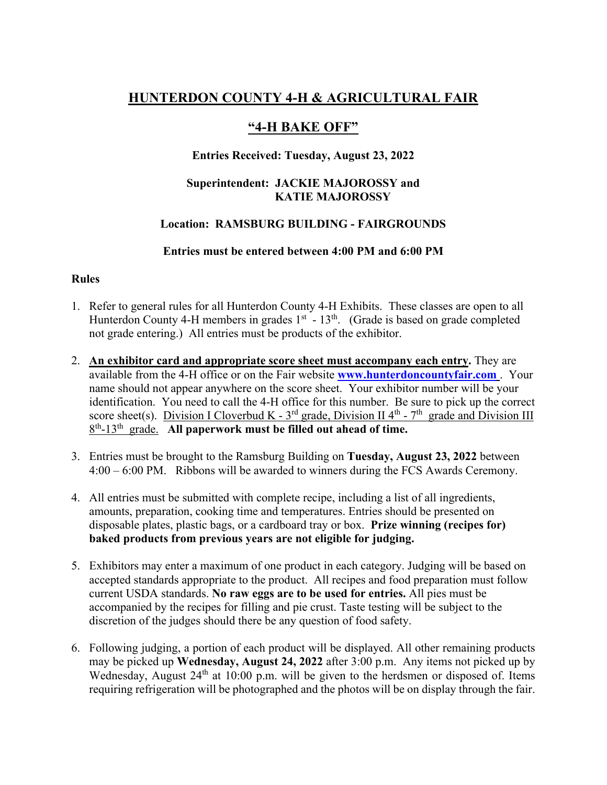# **HUNTERDON COUNTY 4-H & AGRICULTURAL FAIR**

# **"4-H BAKE OFF"**

# **Entries Received: Tuesday, August 23, 2022**

## **Superintendent: JACKIE MAJOROSSY and KATIE MAJOROSSY**

# **Location: RAMSBURG BUILDING - FAIRGROUNDS**

## **Entries must be entered between 4:00 PM and 6:00 PM**

## **Rules**

- 1. Refer to general rules for all Hunterdon County 4-H Exhibits. These classes are open to all Hunterdon County 4-H members in grades  $1<sup>st</sup>$  -  $13<sup>th</sup>$ . (Grade is based on grade completed not grade entering.) All entries must be products of the exhibitor.
- 2. **An exhibitor card and appropriate score sheet must accompany each entry.** They are available from the 4-H office or on the Fair website **www.hunterdoncountyfair.com** . Your name should not appear anywhere on the score sheet. Your exhibitor number will be your identification. You need to call the 4-H office for this number. Be sure to pick up the correct score sheet(s). Division I Cloverbud K -  $3<sup>rd</sup>$  grade, Division II 4<sup>th</sup> - 7<sup>th</sup> grade and Division III 8th-13th grade. **All paperwork must be filled out ahead of time.**
- 3. Entries must be brought to the Ramsburg Building on **Tuesday, August 23, 2022** between 4:00 – 6:00 PM. Ribbons will be awarded to winners during the FCS Awards Ceremony.
- 4. All entries must be submitted with complete recipe, including a list of all ingredients, amounts, preparation, cooking time and temperatures. Entries should be presented on disposable plates, plastic bags, or a cardboard tray or box. **Prize winning (recipes for) baked products from previous years are not eligible for judging.**
- 5. Exhibitors may enter a maximum of one product in each category. Judging will be based on accepted standards appropriate to the product. All recipes and food preparation must follow current USDA standards. **No raw eggs are to be used for entries.** All pies must be accompanied by the recipes for filling and pie crust. Taste testing will be subject to the discretion of the judges should there be any question of food safety.
- 6. Following judging, a portion of each product will be displayed. All other remaining products may be picked up **Wednesday, August 24, 2022** after 3:00 p.m. Any items not picked up by Wednesday, August  $24<sup>th</sup>$  at 10:00 p.m. will be given to the herdsmen or disposed of. Items requiring refrigeration will be photographed and the photos will be on display through the fair.